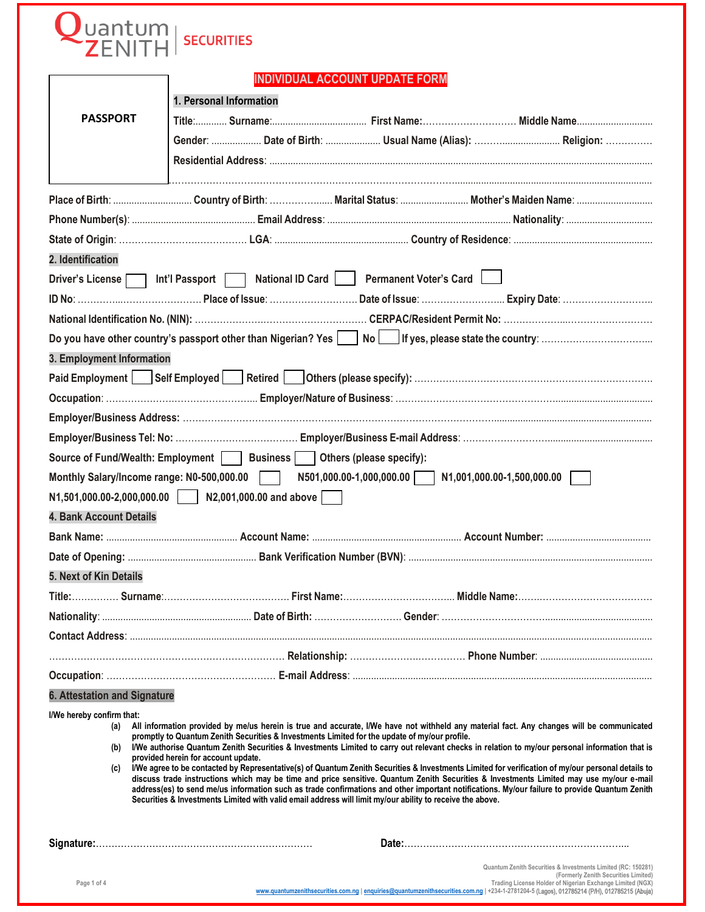| uantum                                         | <b>SECURITIES</b>                                                                                                                                                                                                                                                                                                                                                                                                                                                                                                                                                                                                                                                                                                                                                                                                                                                                                                                                                                                 |                                                       |                                                                                                      |
|------------------------------------------------|---------------------------------------------------------------------------------------------------------------------------------------------------------------------------------------------------------------------------------------------------------------------------------------------------------------------------------------------------------------------------------------------------------------------------------------------------------------------------------------------------------------------------------------------------------------------------------------------------------------------------------------------------------------------------------------------------------------------------------------------------------------------------------------------------------------------------------------------------------------------------------------------------------------------------------------------------------------------------------------------------|-------------------------------------------------------|------------------------------------------------------------------------------------------------------|
|                                                | <b>INDIVIDUAL ACCOUNT UPDATE FORM</b>                                                                                                                                                                                                                                                                                                                                                                                                                                                                                                                                                                                                                                                                                                                                                                                                                                                                                                                                                             |                                                       |                                                                                                      |
|                                                |                                                                                                                                                                                                                                                                                                                                                                                                                                                                                                                                                                                                                                                                                                                                                                                                                                                                                                                                                                                                   |                                                       |                                                                                                      |
| <b>PASSPORT</b>                                | 1. Personal Information                                                                                                                                                                                                                                                                                                                                                                                                                                                                                                                                                                                                                                                                                                                                                                                                                                                                                                                                                                           |                                                       |                                                                                                      |
|                                                |                                                                                                                                                                                                                                                                                                                                                                                                                                                                                                                                                                                                                                                                                                                                                                                                                                                                                                                                                                                                   |                                                       |                                                                                                      |
|                                                | Gender:  Date of Birth:  Usual Name (Alias):  Religion:                                                                                                                                                                                                                                                                                                                                                                                                                                                                                                                                                                                                                                                                                                                                                                                                                                                                                                                                           |                                                       |                                                                                                      |
|                                                |                                                                                                                                                                                                                                                                                                                                                                                                                                                                                                                                                                                                                                                                                                                                                                                                                                                                                                                                                                                                   |                                                       |                                                                                                      |
|                                                |                                                                                                                                                                                                                                                                                                                                                                                                                                                                                                                                                                                                                                                                                                                                                                                                                                                                                                                                                                                                   |                                                       |                                                                                                      |
|                                                |                                                                                                                                                                                                                                                                                                                                                                                                                                                                                                                                                                                                                                                                                                                                                                                                                                                                                                                                                                                                   |                                                       |                                                                                                      |
|                                                |                                                                                                                                                                                                                                                                                                                                                                                                                                                                                                                                                                                                                                                                                                                                                                                                                                                                                                                                                                                                   |                                                       |                                                                                                      |
| 2. Identification                              |                                                                                                                                                                                                                                                                                                                                                                                                                                                                                                                                                                                                                                                                                                                                                                                                                                                                                                                                                                                                   |                                                       |                                                                                                      |
|                                                | Driver's License 11t'l Passport National ID Card Permanent Voter's Card                                                                                                                                                                                                                                                                                                                                                                                                                                                                                                                                                                                                                                                                                                                                                                                                                                                                                                                           |                                                       |                                                                                                      |
|                                                |                                                                                                                                                                                                                                                                                                                                                                                                                                                                                                                                                                                                                                                                                                                                                                                                                                                                                                                                                                                                   |                                                       |                                                                                                      |
|                                                |                                                                                                                                                                                                                                                                                                                                                                                                                                                                                                                                                                                                                                                                                                                                                                                                                                                                                                                                                                                                   |                                                       |                                                                                                      |
|                                                |                                                                                                                                                                                                                                                                                                                                                                                                                                                                                                                                                                                                                                                                                                                                                                                                                                                                                                                                                                                                   |                                                       |                                                                                                      |
| 3. Employment Information                      |                                                                                                                                                                                                                                                                                                                                                                                                                                                                                                                                                                                                                                                                                                                                                                                                                                                                                                                                                                                                   |                                                       |                                                                                                      |
|                                                |                                                                                                                                                                                                                                                                                                                                                                                                                                                                                                                                                                                                                                                                                                                                                                                                                                                                                                                                                                                                   |                                                       |                                                                                                      |
|                                                |                                                                                                                                                                                                                                                                                                                                                                                                                                                                                                                                                                                                                                                                                                                                                                                                                                                                                                                                                                                                   |                                                       |                                                                                                      |
|                                                |                                                                                                                                                                                                                                                                                                                                                                                                                                                                                                                                                                                                                                                                                                                                                                                                                                                                                                                                                                                                   |                                                       |                                                                                                      |
|                                                |                                                                                                                                                                                                                                                                                                                                                                                                                                                                                                                                                                                                                                                                                                                                                                                                                                                                                                                                                                                                   |                                                       |                                                                                                      |
|                                                | Source of Fund/Wealth: Employment     Business     Others (please specify):                                                                                                                                                                                                                                                                                                                                                                                                                                                                                                                                                                                                                                                                                                                                                                                                                                                                                                                       |                                                       |                                                                                                      |
|                                                | Monthly Salary/Income range: N0-500,000.00                                                                                                                                                                                                                                                                                                                                                                                                                                                                                                                                                                                                                                                                                                                                                                                                                                                                                                                                                        | N501,000.00-1,000,000.00   N1,001,000.00-1,500,000.00 |                                                                                                      |
| N1,501,000.00-2,000,000.00                     | N2,001,000.00 and above                                                                                                                                                                                                                                                                                                                                                                                                                                                                                                                                                                                                                                                                                                                                                                                                                                                                                                                                                                           |                                                       |                                                                                                      |
| <b>4. Bank Account Details</b>                 |                                                                                                                                                                                                                                                                                                                                                                                                                                                                                                                                                                                                                                                                                                                                                                                                                                                                                                                                                                                                   |                                                       |                                                                                                      |
|                                                |                                                                                                                                                                                                                                                                                                                                                                                                                                                                                                                                                                                                                                                                                                                                                                                                                                                                                                                                                                                                   |                                                       |                                                                                                      |
|                                                |                                                                                                                                                                                                                                                                                                                                                                                                                                                                                                                                                                                                                                                                                                                                                                                                                                                                                                                                                                                                   |                                                       |                                                                                                      |
| 5. Next of Kin Details                         |                                                                                                                                                                                                                                                                                                                                                                                                                                                                                                                                                                                                                                                                                                                                                                                                                                                                                                                                                                                                   |                                                       |                                                                                                      |
|                                                |                                                                                                                                                                                                                                                                                                                                                                                                                                                                                                                                                                                                                                                                                                                                                                                                                                                                                                                                                                                                   |                                                       |                                                                                                      |
|                                                |                                                                                                                                                                                                                                                                                                                                                                                                                                                                                                                                                                                                                                                                                                                                                                                                                                                                                                                                                                                                   |                                                       |                                                                                                      |
|                                                |                                                                                                                                                                                                                                                                                                                                                                                                                                                                                                                                                                                                                                                                                                                                                                                                                                                                                                                                                                                                   |                                                       |                                                                                                      |
|                                                |                                                                                                                                                                                                                                                                                                                                                                                                                                                                                                                                                                                                                                                                                                                                                                                                                                                                                                                                                                                                   |                                                       |                                                                                                      |
|                                                |                                                                                                                                                                                                                                                                                                                                                                                                                                                                                                                                                                                                                                                                                                                                                                                                                                                                                                                                                                                                   |                                                       |                                                                                                      |
| <b>6. Attestation and Signature</b>            |                                                                                                                                                                                                                                                                                                                                                                                                                                                                                                                                                                                                                                                                                                                                                                                                                                                                                                                                                                                                   |                                                       |                                                                                                      |
| I/We hereby confirm that:<br>(a)<br>(b)<br>(c) | All information provided by me/us herein is true and accurate, I/We have not withheld any material fact. Any changes will be communicated<br>promptly to Quantum Zenith Securities & Investments Limited for the update of my/our profile.<br>I/We authorise Quantum Zenith Securities & Investments Limited to carry out relevant checks in relation to my/our personal information that is<br>provided herein for account update.<br>I/We agree to be contacted by Representative(s) of Quantum Zenith Securities & Investments Limited for verification of my/our personal details to<br>discuss trade instructions which may be time and price sensitive. Quantum Zenith Securities & Investments Limited may use my/our e-mail<br>address(es) to send me/us information such as trade confirmations and other important notifications. My/our failure to provide Quantum Zenith<br>Securities & Investments Limited with valid email address will limit my/our ability to receive the above. |                                                       |                                                                                                      |
|                                                |                                                                                                                                                                                                                                                                                                                                                                                                                                                                                                                                                                                                                                                                                                                                                                                                                                                                                                                                                                                                   |                                                       | Quantum Zenith Securities & Investments Limited (RC: 150281)<br>(Formerly Zenith Securities Limited) |

<sup>(</sup>Formerly Zenith Securities Limited)<br>Trading License Holder of Nigerian Exchange Limited (NGX)<br>www.quantumzenithsecurities.com.ng | en[quiries@quantumzenithsecurities.com.ng](http://www.quantumzenithsecurities.com.ng/) | +234-1-2781204-5 [\(Lagos\), 012785214 \(P/H\),](mailto:enquiries@quantumzenithsecurities.com.ng) 0127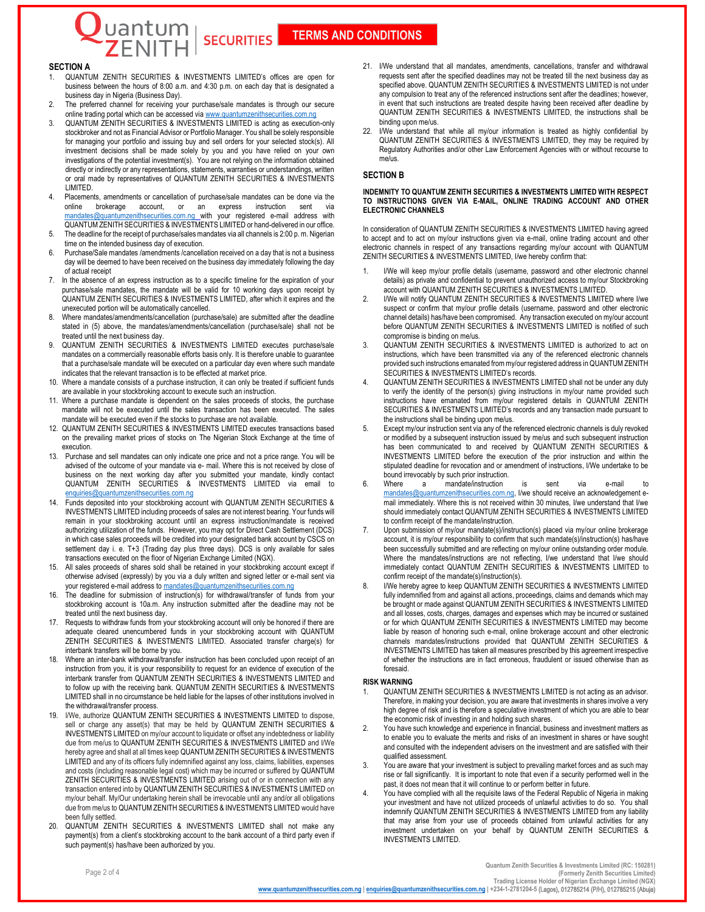# **TERMS AND CONDITIONS**

## **SECTION A**

1. QUANTUM ZENITH SECURITIES & INVESTMENTS LIMITED's offices are open for business between the hours of 8:00 a.m. and 4:30 p.m. on each day that is designated a business day in Nigeria (Business Day).

**SECURITIES** 

uantum

- 2. The preferred channel for receiving your purchase/sale mandates is through our secure online trading portal which can be accessed via www.quantumzenithsecurities.com
- 3. QUANTUM ZENITH SECURITIES & INVESTMENTS LIMITED is acting as execution-only stockbroker and not as Financial Advisor or Portfolio Manager. You shall be solely responsible for managing your portfolio and issuing buy and sell orders for your selected stock(s). All investment decisions shall be made solely by you and you have relied on your own investigations of the potential investment(s). You are not relying on the information obtained directly or indirectly or any representations, statements, warranties or understandings, written or oral made by representatives of QUANTUM ZENITH SECURITIES & INVESTMENTS LIMITED.
- Placements, amendments or cancellation of purchase/sale mandates can be done via the online brokerage account. or an express instruction sent via account, or an express @quantumzenithsecurities.com.ng with your registered e-mail address with QUANTUM ZENITH SECURITIES & INVESTMENTS LIMITED or hand-delivered in our office.
- 5. The deadline for the receipt of purchase/sales mandates via all channels is 2:00 p. m. Nigerian time on the intended business day of execution.
- 6. Purchase/Sale mandates /amendments /cancellation received on a day that is not a business day will be deemed to have been received on the business day immediately following the day of actual receipt
- 7. In the absence of an express instruction as to a specific timeline for the expiration of your purchase/sale mandates, the mandate will be valid for 10 working days upon receipt by QUANTUM ZENITH SECURITIES & INVESTMENTS LIMITED, after which it expires and the unexecuted portion will be automatically cancelled.
- 8. Where mandates/amendments/cancellation (purchase/sale) are submitted after the deadline stated in (5) above, the mandates/amendments/cancellation (purchase/sale) shall not be treated until the next business day.
- 9. QUANTUM ZENITH SECURITIES & INVESTMENTS LIMITED executes purchase/sale mandates on a commercially reasonable efforts basis only. It is therefore unable to guarantee that a purchase/sale mandate will be executed on a particular day even where such mandate indicates that the relevant transaction is to be effected at market price.
- 10. Where a mandate consists of a purchase instruction, it can only be treated if sufficient funds are available in your stockbroking account to execute such an instruction.
- 11. Where a purchase mandate is dependent on the sales proceeds of stocks, the purchase mandate will not be executed until the sales transaction has been executed. The sales mandate will be executed even if the stocks to purchase are not available.
- 12. QUANTUM ZENITH SECURITIES & INVESTMENTS LIMITED executes transactions based on the prevailing market prices of stocks on The Nigerian Stock Exchange at the time of execution.
- 13. Purchase and sell mandates can only indicate one price and not a price range. You will be advised of the outcome of your mandate via e- mail. Where this is not received by close of business on the next working day after you submitted your mandate, kindly contact QUANTUM ZENITH SECURITIES & INVESTMENTS LIMITED via email to [enquiries@quantumzenithsecurities.com.ng](mailto:enquiries@quantumzenithsecurities.com.ng)
- 14. Funds deposited into your stockbroking account with QUANTUM ZENITH SECURITIES & INVESTMENTS LIMITED including proceeds of sales are not interest bearing. Your funds will remain in your stockbroking account until an express instruction/mandate is received authorizing utilization of the funds. However, you may opt for Direct Cash Settlement (DCS) in which case sales proceeds will be credited into your designated bank account by CSCS on settlement day i. e. T+3 (Trading day plus three days). DCS is only available for sales transactions executed on the floor of Nigerian Exchange Limited (NGX).
- 15. All sales proceeds of shares sold shall be retained in your stockbroking account except if otherwise advised (expressly) by you via a duly written and signed letter or e-mail sent via your registered e-mail address to **mandates@quantumzenithsecurities.com.ng**
- 16. The deadline for submission of instruction(s) for withdrawal/transfer of funds from your stockbroking account is 10a.m. Any instruction submitted after the deadline may not be treated until the next business day.
- 17. Requests to withdraw funds from your stockbroking account will only be honored if there are adequate cleared unencumbered funds in your stockbroking account with QUANTUM ZENITH SECURITIES & INVESTMENTS LIMITED. Associated transfer charge(s) for interbank transfers will be borne by you.
- Where an inter-bank withdrawal/transfer instruction has been concluded upon receipt of an instruction from you, it is your responsibility to request for an evidence of execution of the interbank transfer from QUANTUM ZENITH SECURITIES & INVESTMENTS LIMITED and to follow up with the receiving bank. QUANTUM ZENITH SECURITIES & INVESTMENTS LIMITED shall in no circumstance be held liable for the lapses of other institutions involved in the withdrawal/transfer process.
- I/We, authorize QUANTUM ZENITH SECURITIES & INVESTMENTS LIMITED to dispose, sell or charge any asset(s) that may be held by QUANTUM ZENITH SECURITIES & INVESTMENTS LIMITED on my/our account to liquidate or offset any indebtedness or liability due from me/us to QUANTUM ZENITH SECURITIES & INVESTMENTS LIMITED and I/We hereby agree and shall at all times keep QUANTUM ZENITH SECURITIES & INVESTMENTS LIMITED and any of its officers fully indemnified against any loss, claims, liabilities, expenses and costs (including reasonable legal cost) which may be incurred or suffered by QUANTUM ZENITH SECURITIES & INVESTMENTS LIMITED arising out of or in connection with any transaction entered into by QUANTUM ZENITH SECURITIES & INVESTMENTS LIMITED on my/our behalf. My/Our undertaking herein shall be irrevocable until any and/or all obligations due from me/us to QUANTUM ZENITH SECURITIES & INVESTMENTS LIMITED would have been fully settled.
- 20. QUANTUM ZENITH SECURITIES & INVESTMENTS LIMITED shall not make any payment(s) from a client's stockbroking account to the bank account of a third party even if such payment(s) has/have been authorized by you.
- 21. I/We understand that all mandates, amendments, cancellations, transfer and withdrawal requests sent after the specified deadlines may not be treated till the next business day as specified above. QUANTUM ZENITH SECURITIES & INVESTMENTS LIMITED is not under any compulsion to treat any of the referenced instructions sent after the deadlines; however, in event that such instructions are treated despite having been received after deadline by QUANTUM ZENITH SECURITIES & INVESTMENTS LIMITED, the instructions shall be binding upon me/us.
- I/We understand that while all my/our information is treated as highly confidential by QUANTUM ZENITH SECURITIES & INVESTMENTS LIMITED, they may be required by Regulatory Authorities and/or other Law Enforcement Agencies with or without recourse to me/us.

### **SECTION B**

### **INDEMNITY TO QUANTUM ZENITH SECURITIES & INVESTMENTS LIMITED WITH RESPECT TO INSTRUCTIONS GIVEN VIA E-MAIL, ONLINE TRADING ACCOUNT AND OTHER ELECTRONIC CHANNELS**

In consideration of QUANTUM ZENITH SECURITIES & INVESTMENTS LIMITED having agreed to accept and to act on my/our instructions given via e-mail, online trading account and other electronic channels in respect of any transactions regarding my/our account with QUANTUM ZENITH SECURITIES & INVESTMENTS LIMITED, I/we hereby confirm that:

- 1. I/We will keep my/our profile details (username, password and other electronic channel details) as private and confidential to prevent unauthorized access to my/our Stockbroking account with QUANTUM ZENITH SECURITIES & INVESTMENTS LIMITED.
- 2. I/We will notify QUANTUM ZENITH SECURITIES & INVESTMENTS LIMITED where I/we suspect or confirm that my/our profile details (username, password and other electronic channel details) has/have been compromised. Any transaction executed on my/our account before QUANTUM ZENITH SECURITIES & INVESTMENTS LIMITED is notified of such compromise is binding on me/us.
- QUANTUM ZENITH SECURITIES & INVESTMENTS LIMITED is authorized to act on instructions, which have been transmitted via any of the referenced electronic channels provided such instructions emanated from my/our registered address in QUANTUM ZENITH SECURITIES & INVESTMENTS LIMITED's records.
- 4. QUANTUM ZENITH SECURITIES & INVESTMENTS LIMITED shall not be under any duty to verify the identity of the person(s) giving instructions in my/our name provided such instructions have emanated from my/our registered details in QUANTUM ZENITH SECURITIES & INVESTMENTS LIMITED's records and any transaction made pursuant to the instructions shall be binding upon me/us.
- Except my/our instruction sent via any of the referenced electronic channels is duly revoked or modified by a subsequent instruction issued by me/us and such subsequent instruction has been communicated to and received by QUANTUM ZENITH SECURITIES & INVESTMENTS LIMITED before the execution of the prior instruction and within the stipulated deadline for revocation and or amendment of instructions, I/We undertake to be bound irrevocably by such prior instruction.
- 6. Where a mandate/instruction is sent via e-mail to [mandates@quantumzenithsecurities.com.ng,](mailto:mandates@quantumzenithsecurities.com.ng) I/we should receive an acknowledgement email immediately. Where this is not received within 30 minutes, I/we understand that I/we should immediately contact QUANTUM ZENITH SECURITIES & INVESTMENTS LIMITED to confirm receipt of the mandate/instruction.
- 7. Upon submission of my/our mandate(s)/instruction(s) placed via my/our online brokerage account, it is my/our responsibility to confirm that such mandate(s)/instruction(s) has/have been successfully submitted and are reflecting on my/our online outstanding order module. Where the mandates/instructions are not reflecting, I/we understand that I/we should immediately contact QUANTUM ZENITH SECURITIES & INVESTMENTS LIMITED to confirm receipt of the mandate(s)/instruction(s).
- I/We hereby agree to keep QUANTUM ZENITH SECURITIES & INVESTMENTS LIMITED fully indemnified from and against all actions, proceedings, claims and demands which may be brought or made against QUANTUM ZENITH SECURITIES & INVESTMENTS LIMITED and all losses, costs, charges, damages and expenses which may be incurred or sustained or for which QUANTUM ZENITH SECURITIES & INVESTMENTS LIMITED may become liable by reason of honoring such e-mail, online brokerage account and other electronic channels mandates/instructions provided that QUANTUM ZENITH SECURITIES & INVESTMENTS LIMITED has taken all measures prescribed by this agreement irrespective of whether the instructions are in fact erroneous, fraudulent or issued otherwise than as foresaid.

#### **RISK WARNING**

- QUANTUM ZENITH SECURITIES & INVESTMENTS LIMITED is not acting as an advisor. Therefore, in making your decision, you are aware that investments in shares involve a very high degree of risk and is therefore a speculative investment of which you are able to bear the economic risk of investing in and holding such shares.
- 2. You have such knowledge and experience in financial, business and investment matters as to enable you to evaluate the merits and risks of an investment in shares or have sought and consulted with the independent advisers on the investment and are satisfied with their qualified assessment.
- You are aware that your investment is subject to prevailing market forces and as such may rise or fall significantly. It is important to note that even if a security performed well in the past, it does not mean that it will continue to or perform better in future
- You have complied with all the requisite laws of the Federal Republic of Nigeria in making your investment and have not utilized proceeds of unlawful activities to do so. You shall indemnify QUANTUM ZENITH SECURITIES & INVESTMENTS LIMITED from any liability that may arise from your use of proceeds obtained from unlawful activities for any investment undertaken on your behalf by QUANTUM ZENITH SECURITIES & INVESTMENTS LIMITED.

**Quantum Zenith Securities & Investments Limited (RC: 150281) (Formerly Zenith Securities Limited) Trading License Holder of Nigerian Exchange Limited (NGX) www.quantumzenithsecurities.com.ng | enquiries@quant[umzenithsecurities.com.ng](http://www.quantumzenithsecurities.com.ng/) | +234-1-2781204-5** [\(Lagos\), 012785214 \(P/H\), 0](mailto:enquiries@quantumzenithsecurities.com.ng)12785215 (Abuja)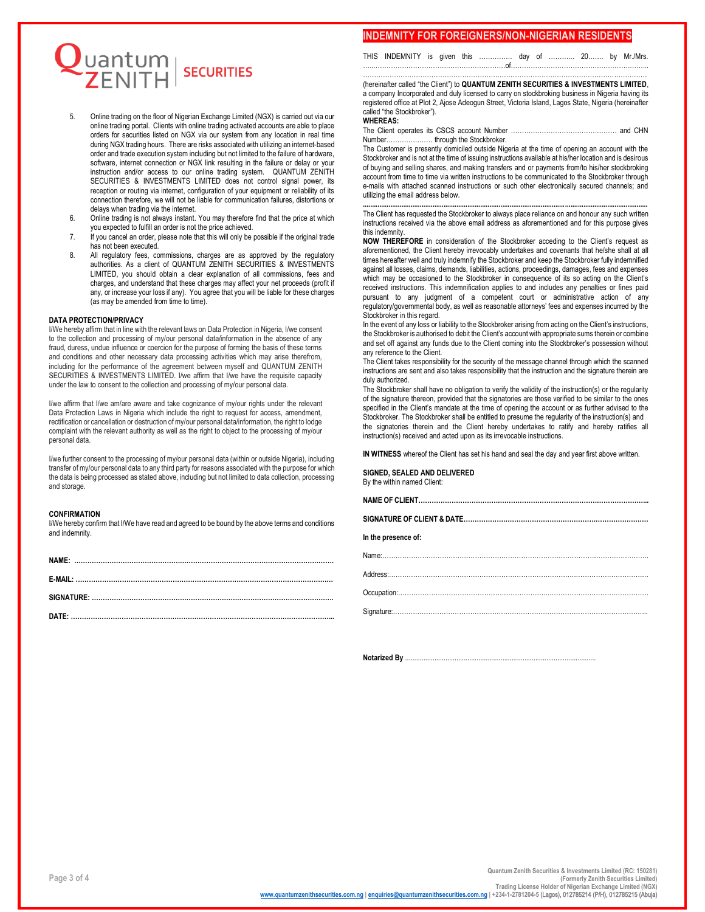

- 5. Online trading on the floor of Nigerian Exchange Limited (NGX) is carried out via our online trading portal. Clients with online trading activated accounts are able to place orders for securities listed on NGX via our system from any location in real time during NGX trading hours. There are risks associated with utilizing an internet-based order and trade execution system including but not limited to the failure of hardware, software, internet connection or NGX link resulting in the failure or delay or your instruction and/or access to our online trading system. QUANTUM ZENITH SECURITIES & INVESTMENTS LIMITED does not control signal power, its reception or routing via internet, configuration of your equipment or reliability of its connection therefore, we will not be liable for communication failures, distortions or delays when trading via the internet.
- 6. Online trading is not always instant. You may therefore find that the price at which you expected to fulfill an order is not the price achieved.
- 7. If you cancel an order, please note that this will only be possible if the original trade has not been executed.
- 8. All regulatory fees, commissions, charges are as approved by the regulatory authorities. As a client of QUANTUM ZENITH SECURITIES & INVESTMENTS LIMITED, you should obtain a clear explanation of all commissions, fees and charges, and understand that these charges may affect your net proceeds (profit if any, or increase your loss if any). You agree that you will be liable for these charges (as may be amended from time to time).

#### **DATA PROTECTION/PRIVACY**

I/We hereby affirm that in line with the relevant laws on Data Protection in Nigeria, I/we consent to the collection and processing of my/our personal data/information in the absence of any fraud, duress, undue influence or coercion for the purpose of forming the basis of these terms and conditions and other necessary data processing activities which may arise therefrom, including for the performance of the agreement between myself and QUANTUM ZENITH SECURITIES & INVESTMENTS LIMITED. I/we affirm that I/we have the requisite capacity under the law to consent to the collection and processing of my/our personal data.

I/we affirm that I/we am/are aware and take cognizance of my/our rights under the relevant Data Protection Laws in Nigeria which include the right to request for access, amendment, rectification or cancellation or destruction of my/our personal data/information, the right to lodge complaint with the relevant authority as well as the right to object to the processing of my/our personal data.

I/we further consent to the processing of my/our personal data (within or outside Nigeria), including transfer of my/our personal data to any third party for reasons associated with the purpose for which the data is being processed as stated above, including but not limited to data collection, processing and storage.

#### **CONFIRMATION**

I/We hereby confirm that I/We have read and agreed to be bound by the above terms and conditions and indemnity.

## **INDEMNITY FOR FOREIGNERS/NON-NIGERIAN RESIDENTS**

THIS INDEMNITY is given this …………… day of ………... 20……. by Mr./Mrs. …..……………………………………………………of……………………………………………………...

………………………………………………………………………………………………………………… (hereinafter called "the Client") to **QUANTUM ZENITH SECURITIES & INVESTMENTS LIMITED**, a company Incorporated and duly licensed to carry on stockbroking business in Nigeria having its registered office at Plot 2, Ajose Adeogun Street, Victoria Island, Lagos State, Nigeria (hereinafter called "the Stockbroker").

#### **WHEREAS:**

The Client operates its CSCS account Number ………………………………………… and CHN Number………………… through the Stockbroker.

The Customer is presently domiciled outside Nigeria at the time of opening an account with the Stockbroker and is not at the time of issuing instructions available at his/her location and is desirous of buying and selling shares, and making transfers and or payments from/to his/her stockbroking account from time to time via written instructions to be communicated to the Stockbroker through e-mails with attached scanned instructions or such other electronically secured channels; and utilizing the email address below.

**...........................................................................................................................................................** The Client has requested the Stockbroker to always place reliance on and honour any such written instructions received via the above email address as aforementioned and for this purpose gives this indemnity.

**NOW THEREFORE** in consideration of the Stockbroker acceding to the Client's request as aforementioned, the Client hereby irrevocably undertakes and covenants that he/she shall at all times hereafter well and truly indemnify the Stockbroker and keep the Stockbroker fully indemnified against all losses, claims, demands, liabilities, actions, proceedings, damages, fees and expenses which may be occasioned to the Stockbroker in consequence of its so acting on the Client's received instructions. This indemnification applies to and includes any penalties or fines paid pursuant to any judgment of a competent court or administrative action of any regulatory/governmental body, as well as reasonable attorneys' fees and expenses incurred by the Stockbroker in this regard.

In the event of any loss or liability to the Stockbroker arising from acting on the Client's instructions, the Stockbroker is authorised to debit the Client's account with appropriate sums therein or combine and set off against any funds due to the Client coming into the Stockbroker's possession without any reference to the Client.

The Client takes responsibility for the security of the message channel through which the scanned instructions are sent and also takes responsibility that the instruction and the signature therein are duly authorized.

The Stockbroker shall have no obligation to verify the validity of the instruction(s) or the regularity of the signature thereon, provided that the signatories are those verified to be similar to the ones specified in the Client's mandate at the time of opening the account or as further advised to the Stockbroker. The Stockbroker shall be entitled to presume the regularity of the instruction(s) and the signatories therein and the Client hereby undertakes to ratify and hereby ratifies all instruction(s) received and acted upon as its irrevocable instructions.

**IN WITNESS** whereof the Client has set his hand and seal the day and year first above written.

**SIGNED, SEALED AND DELIVERED** By the within named Client:

| In the presence of: |
|---------------------|
|                     |
|                     |
|                     |
|                     |
|                     |

**Notarized By .......**